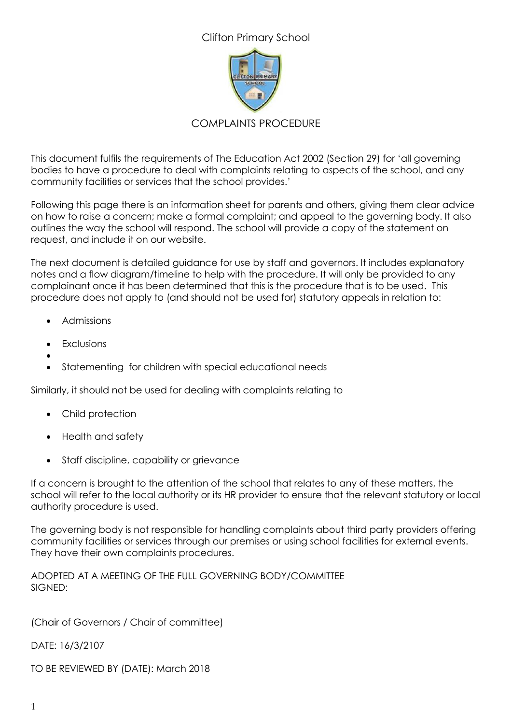Clifton Primary School



### COMPLAINTS PROCEDURE

This document fulfils the requirements of The Education Act 2002 (Section 29) for 'all governing bodies to have a procedure to deal with complaints relating to aspects of the school, and any community facilities or services that the school provides.'

Following this page there is an information sheet for parents and others, giving them clear advice on how to raise a concern; make a formal complaint; and appeal to the governing body. It also outlines the way the school will respond. The school will provide a copy of the statement on request, and include it on our website.

The next document is detailed guidance for use by staff and governors. It includes explanatory notes and a flow diagram/timeline to help with the procedure. It will only be provided to any complainant once it has been determined that this is the procedure that is to be used. This procedure does not apply to (and should not be used for) statutory appeals in relation to:

- Admissions
- Exclusions
- $\bullet$ Statementing for children with special educational needs

Similarly, it should not be used for dealing with complaints relating to

- Child protection
- Health and safety
- Staff discipline, capability or grievance

If a concern is brought to the attention of the school that relates to any of these matters, the school will refer to the local authority or its HR provider to ensure that the relevant statutory or local authority procedure is used.

The governing body is not responsible for handling complaints about third party providers offering community facilities or services through our premises or using school facilities for external events. They have their own complaints procedures.

ADOPTED AT A MEETING OF THE FULL GOVERNING BODY/COMMITTEE SIGNED:

(Chair of Governors / Chair of committee)

DATE: 16/3/2107

TO BE REVIEWED BY (DATE): March 2018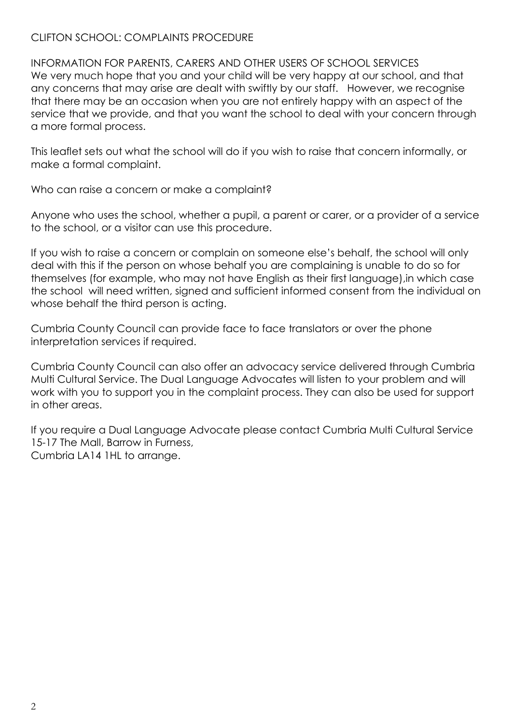### CLIFTON SCHOOL: COMPLAINTS PROCEDURE

INFORMATION FOR PARENTS, CARERS AND OTHER USERS OF SCHOOL SERVICES We very much hope that you and your child will be very happy at our school, and that any concerns that may arise are dealt with swiftly by our staff. However, we recognise that there may be an occasion when you are not entirely happy with an aspect of the service that we provide, and that you want the school to deal with your concern through a more formal process.

This leaflet sets out what the school will do if you wish to raise that concern informally, or make a formal complaint.

Who can raise a concern or make a complaint?

Anyone who uses the school, whether a pupil, a parent or carer, or a provider of a service to the school, or a visitor can use this procedure.

If you wish to raise a concern or complain on someone else's behalf, the school will only deal with this if the person on whose behalf you are complaining is unable to do so for themselves (for example, who may not have English as their first language),in which case the school will need written, signed and sufficient informed consent from the individual on whose behalf the third person is acting.

Cumbria County Council can provide face to face translators or over the phone interpretation services if required.

Cumbria County Council can also offer an advocacy service delivered through Cumbria Multi Cultural Service. The Dual Language Advocates will listen to your problem and will work with you to support you in the complaint process. They can also be used for support in other areas.

If you require a Dual Language Advocate please contact Cumbria Multi Cultural Service 15-17 The Mall, Barrow in Furness, Cumbria LA14 1HL to arrange.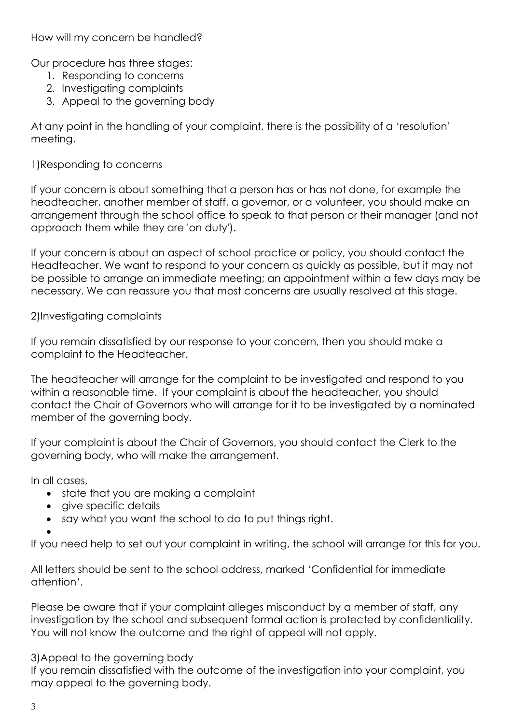How will my concern be handled?

Our procedure has three stages:

- 1. Responding to concerns
- 2. Investigating complaints
- 3. Appeal to the governing body

At any point in the handling of your complaint, there is the possibility of a 'resolution' meeting.

### 1)Responding to concerns

If your concern is about something that a person has or has not done, for example the headteacher, another member of staff, a governor, or a volunteer, you should make an arrangement through the school office to speak to that person or their manager (and not approach them while they are 'on duty').

If your concern is about an aspect of school practice or policy, you should contact the Headteacher. We want to respond to your concern as quickly as possible, but it may not be possible to arrange an immediate meeting; an appointment within a few days may be necessary. We can reassure you that most concerns are usually resolved at this stage.

### 2)Investigating complaints

If you remain dissatisfied by our response to your concern, then you should make a complaint to the Headteacher.

The headteacher will arrange for the complaint to be investigated and respond to you within a reasonable time. If your complaint is about the headteacher, you should contact the Chair of Governors who will arrange for it to be investigated by a nominated member of the governing body.

If your complaint is about the Chair of Governors, you should contact the Clerk to the governing body, who will make the arrangement.

In all cases,

- state that you are making a complaint
- aive specific details
- say what you want the school to do to put things right.

 $\bullet$ 

If you need help to set out your complaint in writing, the school will arrange for this for you.

All letters should be sent to the school address, marked 'Confidential for immediate attention'.

Please be aware that if your complaint alleges misconduct by a member of staff, any investigation by the school and subsequent formal action is protected by confidentiality. You will not know the outcome and the right of appeal will not apply.

#### 3)Appeal to the governing body

If you remain dissatisfied with the outcome of the investigation into your complaint, you may appeal to the governing body.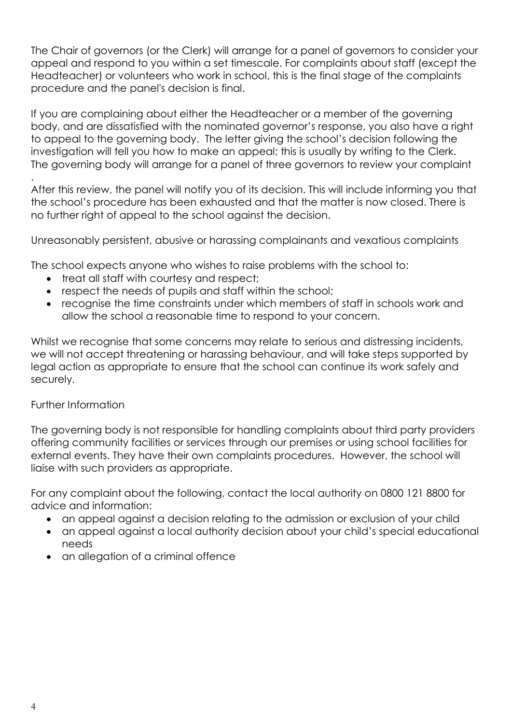The Chair of governors (or the Clerk) will arrange for a panel of governors to consider your appeal and respond to you within a set timescale. For complaints about staff (except the Headteacher) or volunteers who work in school, this is the final stage of the complaints procedure and the panel's decision is final.

If you are complaining about either the Headteacher or a member of the governing body, and are dissatisfied with the nominated governor's response, you also have a right to appeal to the governing body. The letter giving the school's decision following the investigation will tell you how to make an appeal; this is usually by writing to the Clerk. The governing body will arrange for a panel of three governors to review your complaint

After this review, the panel will notify you of its decision. This will include informing you that the school's procedure has been exhausted and that the matter is now closed. There is no further right of appeal to the school against the decision.

Unreasonably persistent, abusive or harassing complainants and vexatious complaints

The school expects anyone who wishes to raise problems with the school to:

- treat all staff with courtesy and respect;
- respect the needs of pupils and staff within the school;
- recognise the time constraints under which members of staff in schools work and allow the school a reasonable time to respond to your concern.

Whilst we recognise that some concerns may relate to serious and distressing incidents, we will not accept threatening or harassing behaviour, and will take steps supported by legal action as appropriate to ensure that the school can continue its work safely and securely.

#### Further Information

.

The governing body is not responsible for handling complaints about third party providers offering community facilities or services through our premises or using school facilities for external events. They have their own complaints procedures. However, the school will liaise with such providers as appropriate.

For any complaint about the following, contact the local authority on 0800 121 8800 for advice and information:

- an appeal against a decision relating to the admission or exclusion of your child
- an appeal against a local authority decision about your child's special educational needs
- an allegation of a criminal offence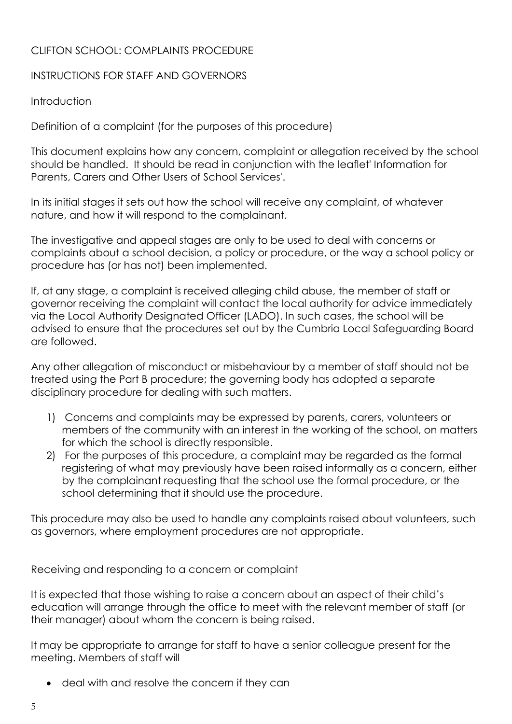### CLIFTON SCHOOL: COMPLAINTS PROCEDURE

#### INSTRUCTIONS FOR STAFF AND GOVERNORS

### Introduction

Definition of a complaint (for the purposes of this procedure)

This document explains how any concern, complaint or allegation received by the school should be handled. It should be read in conjunction with the leaflet' Information for Parents, Carers and Other Users of School Services'.

In its initial stages it sets out how the school will receive any complaint, of whatever nature, and how it will respond to the complainant.

The investigative and appeal stages are only to be used to deal with concerns or complaints about a school decision, a policy or procedure, or the way a school policy or procedure has (or has not) been implemented.

If, at any stage, a complaint is received alleging child abuse, the member of staff or governor receiving the complaint will contact the local authority for advice immediately via the Local Authority Designated Officer (LADO). In such cases, the school will be advised to ensure that the procedures set out by the Cumbria Local Safeguarding Board are followed.

Any other allegation of misconduct or misbehaviour by a member of staff should not be treated using the Part B procedure; the governing body has adopted a separate disciplinary procedure for dealing with such matters.

- 1) Concerns and complaints may be expressed by parents, carers, volunteers or members of the community with an interest in the working of the school, on matters for which the school is directly responsible.
- 2) For the purposes of this procedure, a complaint may be regarded as the formal registering of what may previously have been raised informally as a concern, either by the complainant requesting that the school use the formal procedure, or the school determining that it should use the procedure.

This procedure may also be used to handle any complaints raised about volunteers, such as governors, where employment procedures are not appropriate.

Receiving and responding to a concern or complaint

It is expected that those wishing to raise a concern about an aspect of their child's education will arrange through the office to meet with the relevant member of staff (or their manager) about whom the concern is being raised.

It may be appropriate to arrange for staff to have a senior colleague present for the meeting. Members of staff will

deal with and resolve the concern if they can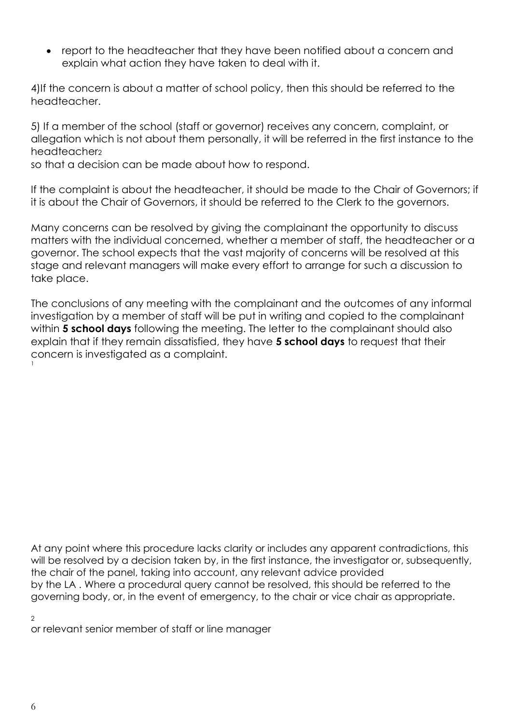report to the headteacher that they have been notified about a concern and explain what action they have taken to deal with it.

4)If the concern is about a matter of school policy, then this should be referred to the headteacher.

5) If a member of the school (staff or governor) receives any concern, complaint, or allegation which is not about them personally, it will be referred in the first instance to the headteacher<sub>2</sub>

so that a decision can be made about how to respond.

If the complaint is about the headteacher, it should be made to the Chair of Governors; if it is about the Chair of Governors, it should be referred to the Clerk to the governors.

Many concerns can be resolved by giving the complainant the opportunity to discuss matters with the individual concerned, whether a member of staff, the headteacher or a governor. The school expects that the vast majority of concerns will be resolved at this stage and relevant managers will make every effort to arrange for such a discussion to take place.

The conclusions of any meeting with the complainant and the outcomes of any informal investigation by a member of staff will be put in writing and copied to the complainant within **5 school days** following the meeting. The letter to the complainant should also explain that if they remain dissatisfied, they have **5 school days** to request that their concern is investigated as a complaint. 1

At any point where this procedure lacks clarity or includes any apparent contradictions, this will be resolved by a decision taken by, in the first instance, the investigator or, subsequently, the chair of the panel, taking into account, any relevant advice provided by the LA . Where a procedural query cannot be resolved, this should be referred to the governing body, or, in the event of emergency, to the chair or vice chair as appropriate.

 $\mathcal{L}$ 

or relevant senior member of staff or line manager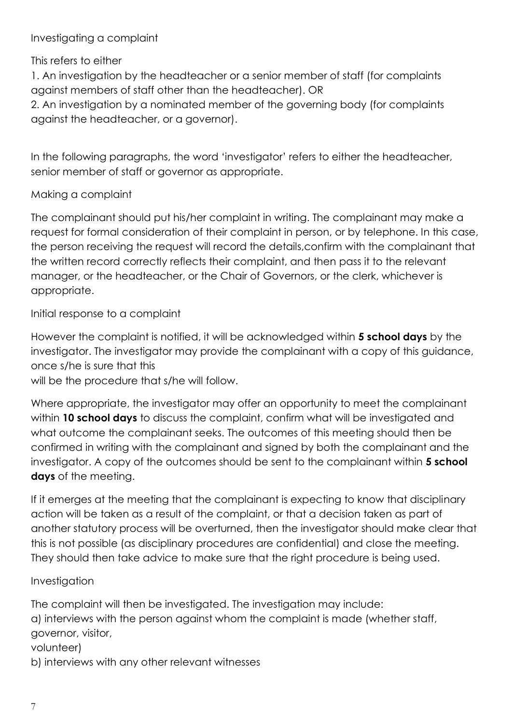### Investigating a complaint

This refers to either

1. An investigation by the headteacher or a senior member of staff (for complaints against members of staff other than the headteacher). OR

2. An investigation by a nominated member of the governing body (for complaints against the headteacher, or a governor).

In the following paragraphs, the word 'investigator' refers to either the headteacher, senior member of staff or governor as appropriate.

## Making a complaint

The complainant should put his/her complaint in writing. The complainant may make a request for formal consideration of their complaint in person, or by telephone. In this case, the person receiving the request will record the details,confirm with the complainant that the written record correctly reflects their complaint, and then pass it to the relevant manager, or the headteacher, or the Chair of Governors, or the clerk, whichever is appropriate.

Initial response to a complaint

However the complaint is notified, it will be acknowledged within **5 school days** by the investigator. The investigator may provide the complainant with a copy of this guidance, once s/he is sure that this

will be the procedure that s/he will follow.

Where appropriate, the investigator may offer an opportunity to meet the complainant within **10 school days** to discuss the complaint, confirm what will be investigated and what outcome the complainant seeks. The outcomes of this meeting should then be confirmed in writing with the complainant and signed by both the complainant and the investigator. A copy of the outcomes should be sent to the complainant within **5 school days** of the meeting.

If it emerges at the meeting that the complainant is expecting to know that disciplinary action will be taken as a result of the complaint, or that a decision taken as part of another statutory process will be overturned, then the investigator should make clear that this is not possible (as disciplinary procedures are confidential) and close the meeting. They should then take advice to make sure that the right procedure is being used.

### Investigation

The complaint will then be investigated. The investigation may include: a) interviews with the person against whom the complaint is made (whether staff, governor, visitor, volunteer) b) interviews with any other relevant witnesses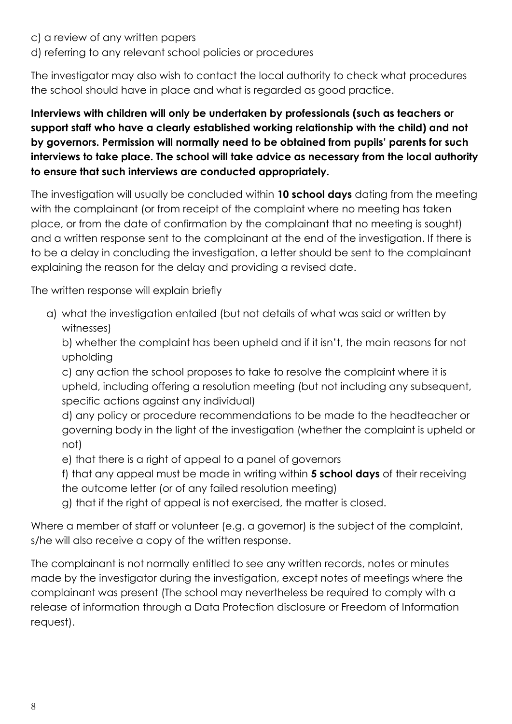- c) a review of any written papers
- d) referring to any relevant school policies or procedures

The investigator may also wish to contact the local authority to check what procedures the school should have in place and what is regarded as good practice.

# **Interviews with children will only be undertaken by professionals (such as teachers or support staff who have a clearly established working relationship with the child) and not by governors. Permission will normally need to be obtained from pupils' parents for such interviews to take place. The school will take advice as necessary from the local authority to ensure that such interviews are conducted appropriately.**

The investigation will usually be concluded within **10 school days** dating from the meeting with the complainant (or from receipt of the complaint where no meeting has taken place, or from the date of confirmation by the complainant that no meeting is sought) and a written response sent to the complainant at the end of the investigation. If there is to be a delay in concluding the investigation, a letter should be sent to the complainant explaining the reason for the delay and providing a revised date.

The written response will explain briefly

a) what the investigation entailed (but not details of what was said or written by witnesses)

b) whether the complaint has been upheld and if it isn't, the main reasons for not upholding

c) any action the school proposes to take to resolve the complaint where it is upheld, including offering a resolution meeting (but not including any subsequent, specific actions against any individual)

d) any policy or procedure recommendations to be made to the headteacher or governing body in the light of the investigation (whether the complaint is upheld or not)

- e) that there is a right of appeal to a panel of governors
- f) that any appeal must be made in writing within **5 school days** of their receiving the outcome letter (or of any failed resolution meeting)
- g) that if the right of appeal is not exercised, the matter is closed.

Where a member of staff or volunteer (e.g. a governor) is the subject of the complaint, s/he will also receive a copy of the written response.

The complainant is not normally entitled to see any written records, notes or minutes made by the investigator during the investigation, except notes of meetings where the complainant was present (The school may nevertheless be required to comply with a release of information through a Data Protection disclosure or Freedom of Information request).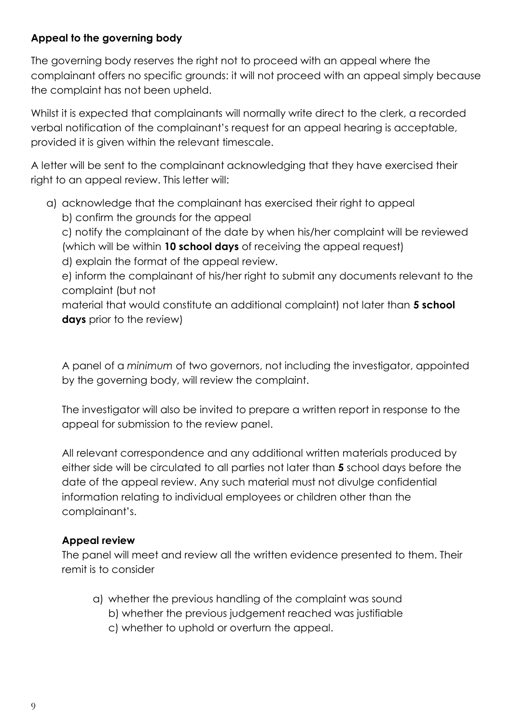### **Appeal to the governing body**

The governing body reserves the right not to proceed with an appeal where the complainant offers no specific grounds: it will not proceed with an appeal simply because the complaint has not been upheld.

Whilst it is expected that complainants will normally write direct to the clerk, a recorded verbal notification of the complainant's request for an appeal hearing is acceptable, provided it is given within the relevant timescale.

A letter will be sent to the complainant acknowledging that they have exercised their right to an appeal review. This letter will:

a) acknowledge that the complainant has exercised their right to appeal b) confirm the grounds for the appeal

c) notify the complainant of the date by when his/her complaint will be reviewed (which will be within **10 school days** of receiving the appeal request)

d) explain the format of the appeal review.

e) inform the complainant of his/her right to submit any documents relevant to the complaint (but not

material that would constitute an additional complaint) not later than **5 school days** prior to the review)

A panel of a *minimum* of two governors, not including the investigator, appointed by the governing body, will review the complaint.

The investigator will also be invited to prepare a written report in response to the appeal for submission to the review panel.

All relevant correspondence and any additional written materials produced by either side will be circulated to all parties not later than **5** school days before the date of the appeal review. Any such material must not divulge confidential information relating to individual employees or children other than the complainant's.

# **Appeal review**

The panel will meet and review all the written evidence presented to them. Their remit is to consider

- a) whether the previous handling of the complaint was sound
	- b) whether the previous judgement reached was justifiable
	- c) whether to uphold or overturn the appeal.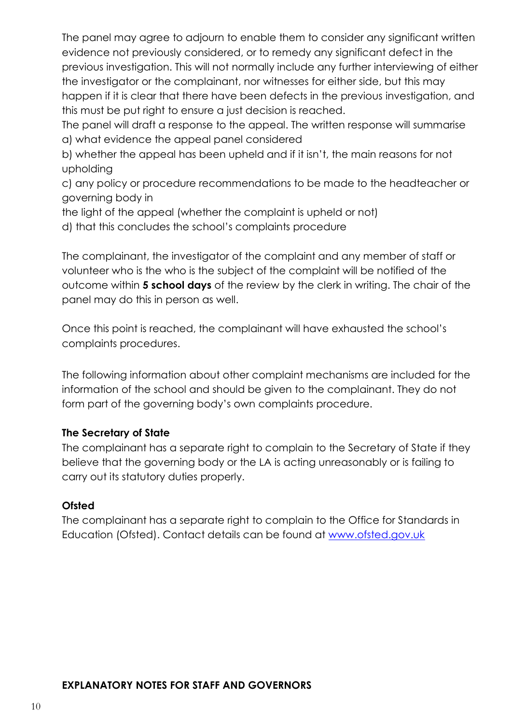The panel may agree to adjourn to enable them to consider any significant written evidence not previously considered, or to remedy any significant defect in the previous investigation. This will not normally include any further interviewing of either the investigator or the complainant, nor witnesses for either side, but this may happen if it is clear that there have been defects in the previous investigation, and this must be put right to ensure a just decision is reached.

The panel will draft a response to the appeal. The written response will summarise a) what evidence the appeal panel considered

b) whether the appeal has been upheld and if it isn't, the main reasons for not upholding

c) any policy or procedure recommendations to be made to the headteacher or governing body in

the light of the appeal (whether the complaint is upheld or not)

d) that this concludes the school's complaints procedure

The complainant, the investigator of the complaint and any member of staff or volunteer who is the who is the subject of the complaint will be notified of the outcome within **5 school days** of the review by the clerk in writing. The chair of the panel may do this in person as well.

Once this point is reached, the complainant will have exhausted the school's complaints procedures.

The following information about other complaint mechanisms are included for the information of the school and should be given to the complainant. They do not form part of the governing body's own complaints procedure.

### **The Secretary of State**

The complainant has a separate right to complain to the Secretary of State if they believe that the governing body or the LA is acting unreasonably or is failing to carry out its statutory duties properly.

#### **Ofsted**

The complainant has a separate right to complain to the Office for Standards in Education (Ofsted). Contact details can be found at [www.ofsted.gov.uk](http://www.ofsted.gov.uk/)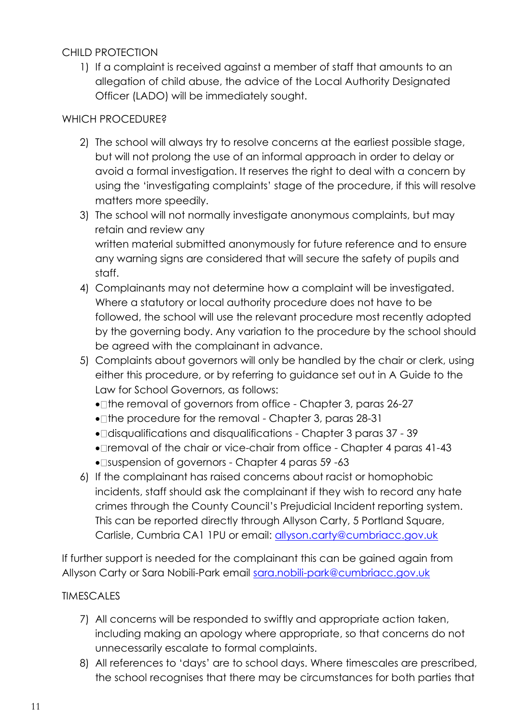## CHILD PROTECTION

1) If a complaint is received against a member of staff that amounts to an allegation of child abuse, the advice of the Local Authority Designated Officer (LADO) will be immediately sought.

## WHICH PROCEDURE?

- 2) The school will always try to resolve concerns at the earliest possible stage, but will not prolong the use of an informal approach in order to delay or avoid a formal investigation. It reserves the right to deal with a concern by using the 'investigating complaints' stage of the procedure, if this will resolve matters more speedily.
- 3) The school will not normally investigate anonymous complaints, but may retain and review any written material submitted anonymously for future reference and to ensure any warning signs are considered that will secure the safety of pupils and staff.
- 4) Complainants may not determine how a complaint will be investigated. Where a statutory or local authority procedure does not have to be followed, the school will use the relevant procedure most recently adopted by the governing body. Any variation to the procedure by the school should be agreed with the complainant in advance.
- 5) Complaints about governors will only be handled by the chair or clerk, using either this procedure, or by referring to guidance set out in A Guide to the Law for School Governors, as follows:
	- The removal of governors from office Chapter 3, paras 26-27
	- The procedure for the removal Chapter 3, paras 28-31
	- disqualifications and disqualifications Chapter 3 paras 37 39
	- Iremoval of the chair or vice-chair from office Chapter 4 paras 41-43
	- Isuspension of governors Chapter 4 paras 59 -63
- 6) If the complainant has raised concerns about racist or homophobic incidents, staff should ask the complainant if they wish to record any hate crimes through the County Council's Prejudicial Incident reporting system. This can be reported directly through Allyson Carty, 5 Portland Square, Carlisle, Cumbria CA1 1PU or email: [allyson.carty@cumbriacc.gov.uk](mailto:allyson.carty@cumbriacc.gov.uk)

If further support is needed for the complainant this can be gained again from Allyson Carty or Sara Nobili-Park email [sara.nobili-park@cumbriacc.gov.uk](mailto:sara.nobili-park@cumbriacc.gov.uk)

### TIMESCALES

- 7) All concerns will be responded to swiftly and appropriate action taken, including making an apology where appropriate, so that concerns do not unnecessarily escalate to formal complaints.
- 8) All references to 'days' are to school days. Where timescales are prescribed, the school recognises that there may be circumstances for both parties that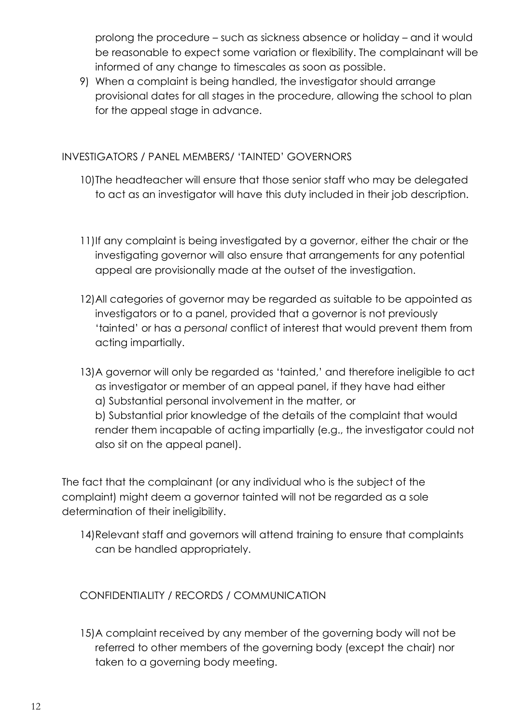prolong the procedure – such as sickness absence or holiday – and it would be reasonable to expect some variation or flexibility. The complainant will be informed of any change to timescales as soon as possible.

9) When a complaint is being handled, the investigator should arrange provisional dates for all stages in the procedure, allowing the school to plan for the appeal stage in advance.

### INVESTIGATORS / PANEL MEMBERS/ 'TAINTED' GOVERNORS

- 10)The headteacher will ensure that those senior staff who may be delegated to act as an investigator will have this duty included in their job description.
- 11)If any complaint is being investigated by a governor, either the chair or the investigating governor will also ensure that arrangements for any potential appeal are provisionally made at the outset of the investigation.
- 12)All categories of governor may be regarded as suitable to be appointed as investigators or to a panel, provided that a governor is not previously 'tainted' or has a *personal* conflict of interest that would prevent them from acting impartially.
- 13)A governor will only be regarded as 'tainted,' and therefore ineligible to act as investigator or member of an appeal panel, if they have had either a) Substantial personal involvement in the matter, or b) Substantial prior knowledge of the details of the complaint that would render them incapable of acting impartially (e.g., the investigator could not also sit on the appeal panel).

The fact that the complainant (or any individual who is the subject of the complaint) might deem a governor tainted will not be regarded as a sole determination of their ineligibility.

14)Relevant staff and governors will attend training to ensure that complaints can be handled appropriately.

CONFIDENTIALITY / RECORDS / COMMUNICATION

15)A complaint received by any member of the governing body will not be referred to other members of the governing body (except the chair) nor taken to a governing body meeting.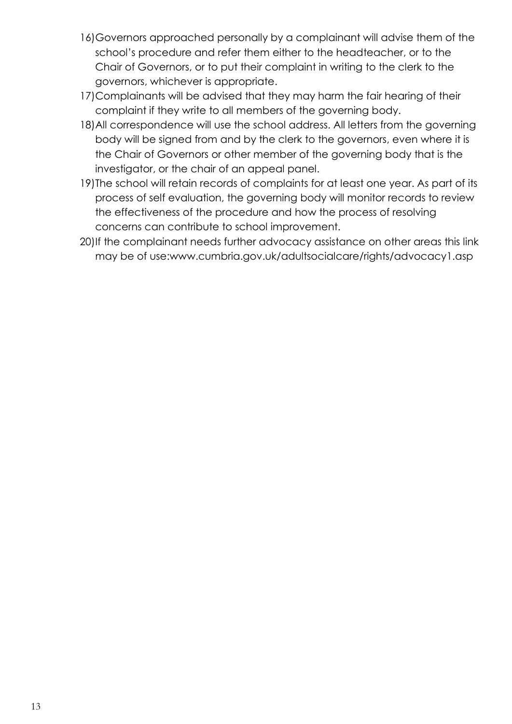- 16)Governors approached personally by a complainant will advise them of the school's procedure and refer them either to the headteacher, or to the Chair of Governors, or to put their complaint in writing to the clerk to the governors, whichever is appropriate.
- 17)Complainants will be advised that they may harm the fair hearing of their complaint if they write to all members of the governing body.
- 18)All correspondence will use the school address. All letters from the governing body will be signed from and by the clerk to the governors, even where it is the Chair of Governors or other member of the governing body that is the investigator, or the chair of an appeal panel.
- 19)The school will retain records of complaints for at least one year. As part of its process of self evaluation, the governing body will monitor records to review the effectiveness of the procedure and how the process of resolving concerns can contribute to school improvement.
- 20)If the complainant needs further advocacy assistance on other areas this link may be of use:www.cumbria.gov.uk/adultsocialcare/rights/advocacy1.asp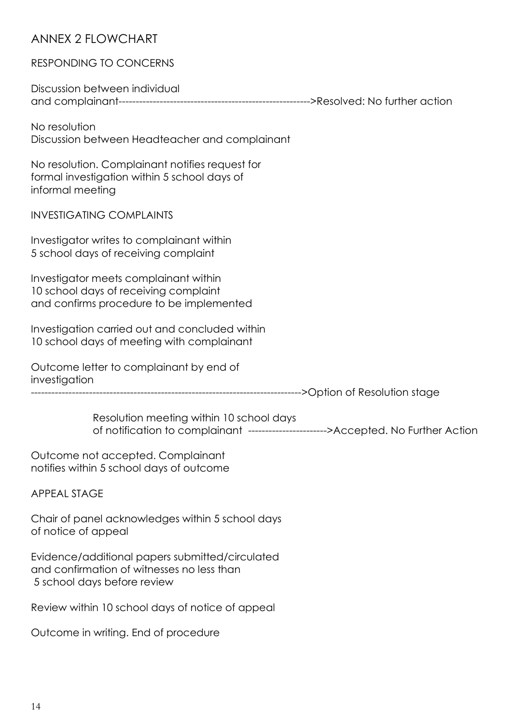# ANNEX 2 FLOWCHART

#### RESPONDING TO CONCERNS

Discussion between individual and complainant-------------------------------------------------------->Resolved: No further action

No resolution Discussion between Headteacher and complainant

No resolution. Complainant notifies request for formal investigation within 5 school days of informal meeting

INVESTIGATING COMPLAINTS

Investigator writes to complainant within 5 school days of receiving complaint

Investigator meets complainant within 10 school days of receiving complaint and confirms procedure to be implemented

Investigation carried out and concluded within 10 school days of meeting with complainant

Outcome letter to complainant by end of investigation

------------------------------------------------------------------------------->Option of Resolution stage

Resolution meeting within 10 school days of notification to complainant ----------------------->Accepted. No Further Action

Outcome not accepted. Complainant notifies within 5 school days of outcome

APPEAL STAGE

Chair of panel acknowledges within 5 school days of notice of appeal

Evidence/additional papers submitted/circulated and confirmation of witnesses no less than 5 school days before review

Review within 10 school days of notice of appeal

Outcome in writing. End of procedure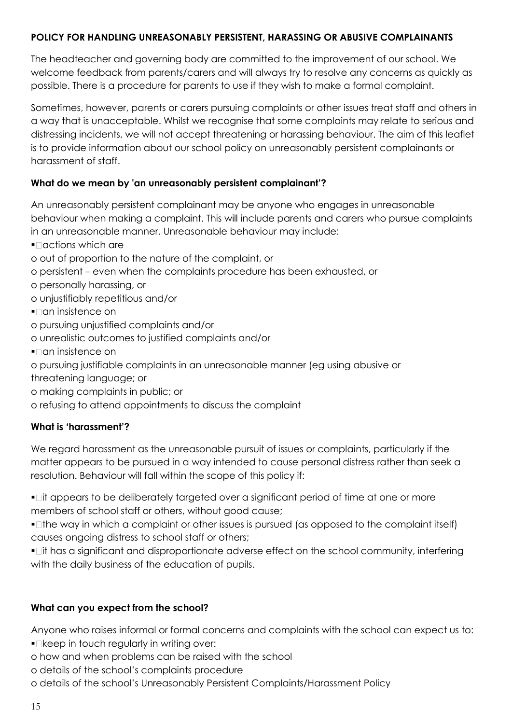#### **POLICY FOR HANDLING UNREASONABLY PERSISTENT, HARASSING OR ABUSIVE COMPLAINANTS**

The headteacher and governing body are committed to the improvement of our school. We welcome feedback from parents/carers and will always try to resolve any concerns as quickly as possible. There is a procedure for parents to use if they wish to make a formal complaint.

Sometimes, however, parents or carers pursuing complaints or other issues treat staff and others in a way that is unacceptable. Whilst we recognise that some complaints may relate to serious and distressing incidents, we will not accept threatening or harassing behaviour. The aim of this leaflet is to provide information about our school policy on unreasonably persistent complainants or harassment of staff.

#### **What do we mean by 'an unreasonably persistent complainant'?**

An unreasonably persistent complainant may be anyone who engages in unreasonable behaviour when making a complaint. This will include parents and carers who pursue complaints in an unreasonable manner. Unreasonable behaviour may include:

- $\blacksquare$  actions which are
- o out of proportion to the nature of the complaint, or
- o persistent even when the complaints procedure has been exhausted, or
- o personally harassing, or
- o unjustifiably repetitious and/or
- $\blacksquare$  an insistence on
- o pursuing unjustified complaints and/or
- o unrealistic outcomes to justified complaints and/or
- $\blacksquare$  an insistence on
- o pursuing justifiable complaints in an unreasonable manner (eg using abusive or
- threatening language; or
- o making complaints in public; or
- o refusing to attend appointments to discuss the complaint

#### **What is 'harassment'?**

We regard harassment as the unreasonable pursuit of issues or complaints, particularly if the matter appears to be pursued in a way intended to cause personal distress rather than seek a resolution. Behaviour will fall within the scope of this policy if:

• Lit appears to be deliberately targeted over a significant period of time at one or more members of school staff or others, without good cause;

• Ithe way in which a complaint or other issues is pursued (as opposed to the complaint itself) causes ongoing distress to school staff or others;

 it has a significant and disproportionate adverse effect on the school community, interfering with the daily business of the education of pupils.

#### **What can you expect from the school?**

Anyone who raises informal or formal concerns and complaints with the school can expect us to:

- $\blacksquare$  keep in touch regularly in writing over:
- o how and when problems can be raised with the school

o details of the school's complaints procedure

o details of the school's Unreasonably Persistent Complaints/Harassment Policy